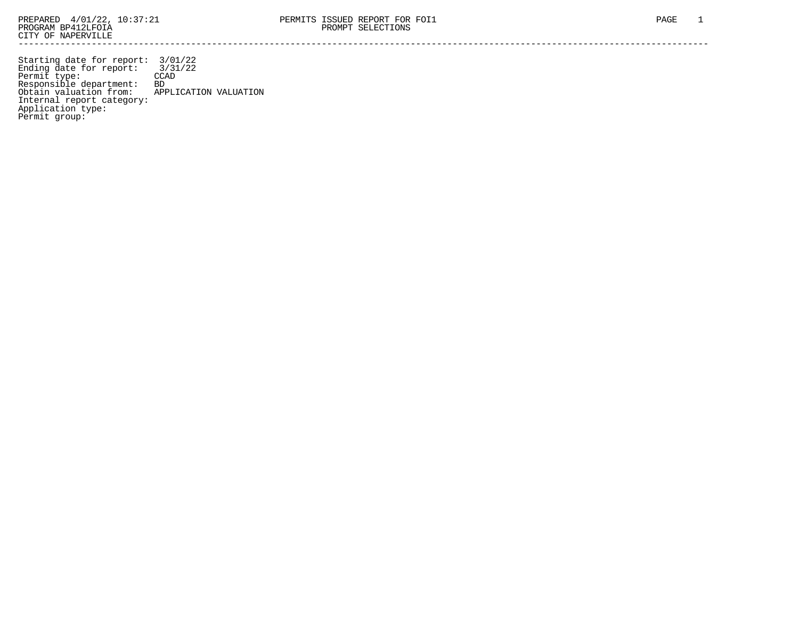Starting date for report: 3/01/22 Ending date for report: 3/31/22 Permit type: CCAD Responsible department: BD Obtain valuation from: APPLICATION VALUATION Internal report category: Application type: Permit group: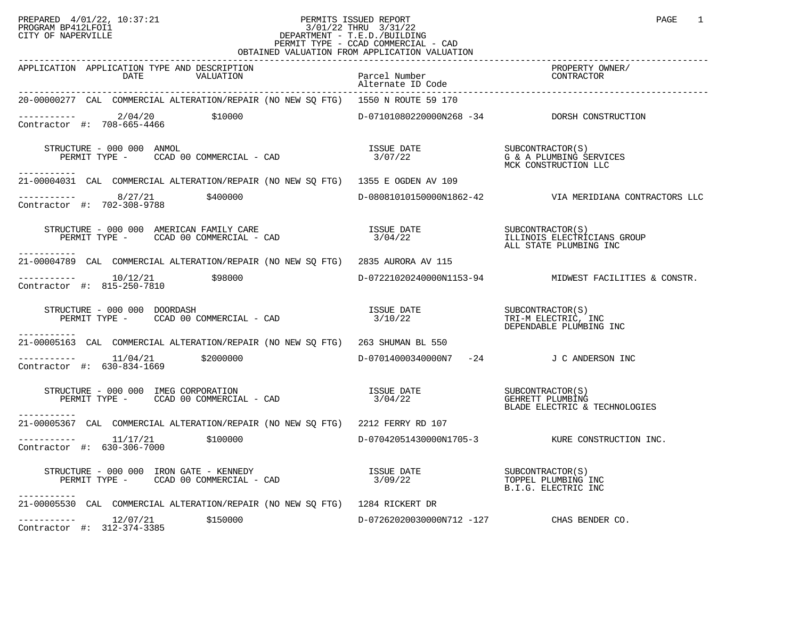## PREPARED 4/01/22, 10:37:21 PERMITS ISSUED REPORT<br>PROGRAM BP412LFOI1 PROGRAM PROGRAM PAGE 1 PROGRAM BP412LFOI1 3/01/22 THRU 3/31/22 CITY OF NAPERVILLE **Example 20** CITY OF NAPERVILLE PERMIT TYPE - CCAD COMMERCIAL - CAD OBTAINED VALUATION FROM APPLICATION VALUATION

| APPLICATION APPLICATION TYPE AND DESCRIPTION<br>DATE<br>VALUATION                                                                                                                                                                                                                                                                                          | Parcel Number<br>Alternate ID Code        | PROPERTY OWNER/<br>CONTRACTOR                                             |
|------------------------------------------------------------------------------------------------------------------------------------------------------------------------------------------------------------------------------------------------------------------------------------------------------------------------------------------------------------|-------------------------------------------|---------------------------------------------------------------------------|
| 20-00000277 CAL COMMERCIAL ALTERATION/REPAIR (NO NEW SQ FTG) 1550 N ROUTE 59 170                                                                                                                                                                                                                                                                           |                                           |                                                                           |
| $\begin{tabular}{ll} \texttt{-----} \texttt{-----} & \texttt{2/04/20} & \texttt{\$10000} \\ \texttt{Contractor} & \texttt{#:} & 708-665-4466 & \end{tabular}$                                                                                                                                                                                              |                                           | D-07101080220000N268 -34 DORSH CONSTRUCTION                               |
| STRUCTURE – 000 000 ANMOL STRUCTURE – 000 000 ANMOL STRUCTURE – 1900 OO ANMOL STRUCTURE – 1900 OO ANMOL SERVIC<br>PERMIT TYPE – CCAD 00 COMMERCIAL – CAD 1999 1999 1999 22 1999 1999 1999 NCK CONSTRUCTION LLC<br>STRUCTURE - 000 000 ANMOL<br>-----------                                                                                                 |                                           | G & A PLUMBING SERVICES                                                   |
| 21-00004031 CAL COMMERCIAL ALTERATION/REPAIR (NO NEW SO FTG) 1355 E OGDEN AV 109                                                                                                                                                                                                                                                                           |                                           |                                                                           |
| Contractor #: 702-308-9788                                                                                                                                                                                                                                                                                                                                 |                                           | D-08081010150000N1862-42    VIA MERIDIANA CONTRACTORS LLC                 |
| STRUCTURE - 000 000 AMERICAN FAMILY CARE<br>PERMIT TYPE - CCAD 00 COMMERCIAL - CAD<br>-----------                                                                                                                                                                                                                                                          | ISSUE DATE<br>3/04/22                     | SUBCONTRACTOR(S)<br>ILLINOIS ELECTRICIANS GROUP<br>ALL STATE PLUMBING INC |
| 21-00004789 CAL COMMERCIAL ALTERATION/REPAIR (NO NEW SQ FTG) 2835 AURORA AV 115                                                                                                                                                                                                                                                                            |                                           |                                                                           |
| $--------- 10/12/21$ \$98000<br>Contractor #: 815-250-7810                                                                                                                                                                                                                                                                                                 |                                           | $D-07221020240000N1153-94$ MIDWEST FACILITIES & CONSTR.                   |
| FRUCTURE - 000 000 DOORDASH SUBCONTRACTOR(S)<br>PERMIT TYPE - CCAD 00 COMMERCIAL - CAD 3/10/22 TRI-M ELECTRIC, INC<br>STRUCTURE - 000 000 DOORDASH<br>------------                                                                                                                                                                                         |                                           | DEPENDABLE PLUMBING INC                                                   |
| 21-00005163 CAL COMMERCIAL ALTERATION/REPAIR (NO NEW SQ FTG) 263 SHUMAN BL 550                                                                                                                                                                                                                                                                             |                                           |                                                                           |
| $\frac{11}{04/21}$ \$2000000<br>Contractor #: 630-834-1669<br>Contractor #: 630-834-1669                                                                                                                                                                                                                                                                   | D-07014000340000N7 -24 J C ANDERSON INC   |                                                                           |
| $\begin{array}{cccc}\texttt{STRUCTURE} & - & 000 & 000 & \texttt{IMEG CORPORTION} \\\texttt{PERMIT TYPE} & - & \texttt{CCAD} & 00 & \texttt{COMERCIAL} & - & \texttt{CAD} & \end{array} \qquad \begin{array}{cccc}\texttt{ISSUE} & \texttt{DATE} \\\texttt{3/04/22} \\\texttt{3/04/22} \\\texttt{BLADE ELECTRIC & TECHNOLOGIES} \end{array}$<br>---------- |                                           |                                                                           |
| 21-00005367 CAL COMMERCIAL ALTERATION/REPAIR (NO NEW SQ FTG) 2212 FERRY RD 107                                                                                                                                                                                                                                                                             |                                           |                                                                           |
| $---------$ 11/17/21 \$100000<br>Contractor #: 630-306-7000                                                                                                                                                                                                                                                                                                |                                           | D-07042051430000N1705-3 KURE CONSTRUCTION INC.                            |
| $\begin{tabular}{lllllllllll} \texttt{STRUCTURE} & - & 000 & 000 & \texttt{IRON} & \texttt{GATE} & - & \texttt{KENNEDY} & & & & & & \texttt{ISSUE} & \texttt{DATE} \\ \texttt{PERMIT} & \texttt{TYPE} & - & \texttt{CCAD} & 00 & \texttt{COMMERCIAL} & - & \texttt{CAD} & & & & 3/09/22 \\ \end{tabular}$<br>-----------                                   |                                           | SUBCONTRACTOR(S)<br>TOPPEL PLUMBING INC<br>B.I.G. ELECTRIC INC            |
| 21-00005530 CAL COMMERCIAL ALTERATION/REPAIR (NO NEW SQ FTG) 1284 RICKERT DR                                                                                                                                                                                                                                                                               |                                           |                                                                           |
| $--------- 12/07/21$ \$150000<br>Contractor #: 312-374-3385                                                                                                                                                                                                                                                                                                | D-07262020030000N712 -127 CHAS BENDER CO. |                                                                           |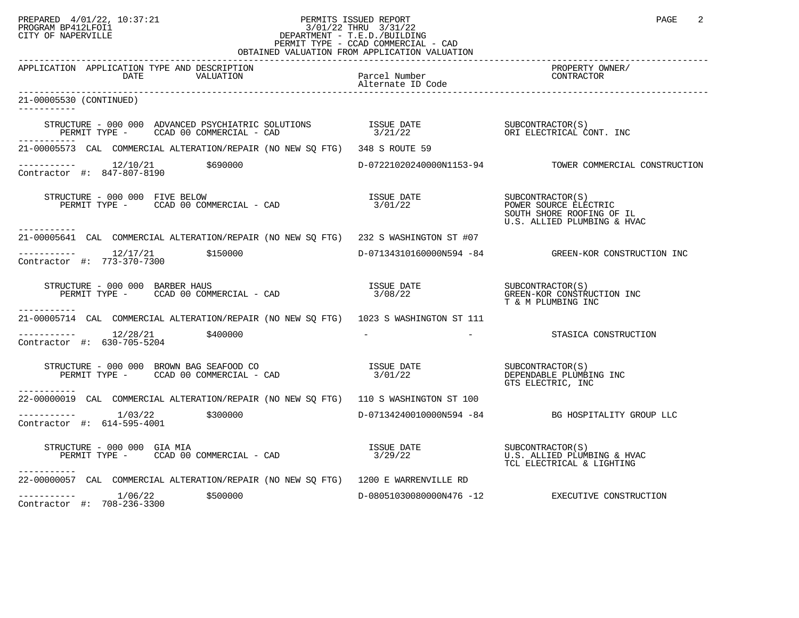## PREPARED 4/01/22, 10:37:21 PERMITS ISSUED REPORT<br>PROGRAM BP412LFOI1 PAGE 2 PROGRAM BP412LFOI1 PROGRAM BP412LFOI1 3/01/22 THRU 3/31/22 CITY OF NAPERVILLE **Example 20** CITY OF NAPERVILLE PERMIT TYPE - CCAD COMMERCIAL - CAD OBTAINED VALUATION FROM APPLICATION VALUATION

| APPLICATION APPLICATION TYPE AND DESCRIPTION<br>DATE<br>VALUATION                                                                                                                                                                                                                                                                                                    | Parcel Number                          | PROPERTY OWNER/<br>CONTRACTOR                                                                         |
|----------------------------------------------------------------------------------------------------------------------------------------------------------------------------------------------------------------------------------------------------------------------------------------------------------------------------------------------------------------------|----------------------------------------|-------------------------------------------------------------------------------------------------------|
| 21-00005530 (CONTINUED)                                                                                                                                                                                                                                                                                                                                              |                                        |                                                                                                       |
| $\begin{array}{cccccc} \texttt{STRUCTURE} & - & 000 & 000 & \texttt{ADVANCED} & \texttt{PSYCHIARTIC} & \texttt{SOLUTIONS} & & & & & \texttt{ISSUE} & \texttt{DATE} & & & & \texttt{SUBCONTRACTOR(S)}\\ & & & \texttt{PERMIT TYPE} & - & & \texttt{CCAD} & 00 & \texttt{COMMERCIAL} & - & \texttt{CAD} & & & & \\ \end{array}$<br>-----------                         |                                        |                                                                                                       |
| 21-00005573 CAL COMMERCIAL ALTERATION/REPAIR (NO NEW SQ FTG) 348 S ROUTE 59                                                                                                                                                                                                                                                                                          |                                        |                                                                                                       |
| $\begin{tabular}{ll} \texttt{----------} & 12/10/21 & \texttt{\$690000} \\ \texttt{Contractor} & \texttt{#:} & 847-807-8190 \\ \end{tabular}$                                                                                                                                                                                                                        |                                        | D-07221020240000N1153-94 TOWER COMMERCIAL CONSTRUCTION                                                |
| STRUCTURE - 000 000 FIVE BELOW<br>PERMIT TYPE - CCAD 00 COMMERCIAL - CAD                                                                                                                                                                                                                                                                                             | ISSUE DATE<br>3/01/22                  | SUBCONTRACTOR(S)<br>POWER SOURCE ELECTRIC<br>SOUTH SHORE ROOFING OF IL<br>U.S. ALLIED PLUMBING & HVAC |
| .<br>21-00005641 CAL COMMERCIAL ALTERATION/REPAIR (NO NEW SQ FTG) 232 S WASHINGTON ST #07                                                                                                                                                                                                                                                                            |                                        |                                                                                                       |
| $--------- 12/17/21$ \$150000<br>Contractor #: 773-370-7300                                                                                                                                                                                                                                                                                                          |                                        | D-07134310160000N594 -84 GREEN-KOR CONSTRUCTION INC                                                   |
| $\begin{array}{cccccc} \texttt{STRUCTURE} & - & 000 & 000 & \texttt{BARBER HAUS} & & & \\ \texttt{PERMIT TYPE} & - & \texttt{CCAD} & 00 & \texttt{COMMERCIAL} & - & \texttt{CAD} & & & \\ \end{array} \qquad \begin{array}{cccccc} \texttt{ISSUE} & \texttt{DATE} & & & \texttt{SUBCONTRACTOR(S)}\\ 3/08/22 & & & & \texttt{GREEN-KOR CONSTRUCTION INC} \end{array}$ |                                        | T & M PLUMBING INC                                                                                    |
| -----------<br>21-00005714 CAL COMMERCIAL ALTERATION/REPAIR (NO NEW SQ FTG) 1023 S WASHINGTON ST 111                                                                                                                                                                                                                                                                 |                                        |                                                                                                       |
| $--------- 12/28/21$ \$400000<br>Contractor #: 630-705-5204                                                                                                                                                                                                                                                                                                          |                                        | STASICA CONSTRUCTION                                                                                  |
|                                                                                                                                                                                                                                                                                                                                                                      |                                        | SUBCONTRACTOR(S)<br>DEPENDABLE PLUMBING INC<br>GTS ELECTRIC, INC                                      |
| 22-00000019 CAL COMMERCIAL ALTERATION/REPAIR (NO NEW SQ FTG) 110 S WASHINGTON ST 100                                                                                                                                                                                                                                                                                 |                                        |                                                                                                       |
| ----------- 1/03/22 \$300000<br>Contractor #: 614-595-4001                                                                                                                                                                                                                                                                                                           |                                        | $D-07134240010000N594$ $-84$ BG HOSPITALITY GROUP LLC                                                 |
| STRUCTURE - 000 000 GIA MIA<br>PERMIT TYPE - CCAD 00 COMMERCIAL - CAD<br>STRUCTURE - 000 000 GIA MIA<br>-----------                                                                                                                                                                                                                                                  | ISSUE DATE SUBCONTRACTOR(S)<br>3/29/22 | U.S. ALLIED PLUMBING & HVAC<br>TCL ELECTRICAL & LIGHTING                                              |
| 22-00000057 CAL COMMERCIAL ALTERATION/REPAIR (NO NEW SQ FTG) 1200 E WARRENVILLE RD                                                                                                                                                                                                                                                                                   |                                        |                                                                                                       |
| $---------$ 1/06/22 \$500000<br>Contractor #: 708-236-3300                                                                                                                                                                                                                                                                                                           |                                        | D-08051030080000N476 -12 EXECUTIVE CONSTRUCTION                                                       |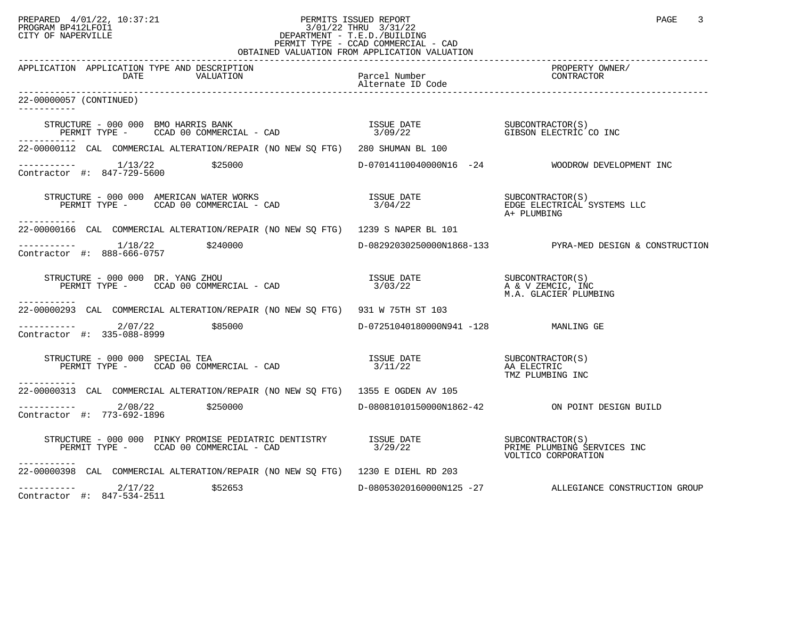## PREPARED 4/01/22, 10:37:21 PERMITS ISSUED REPORT PROGRAM BP412LFOI1 PAGE 3<br>PROGRAM BP412LFOI1 PROGRAM BP412LFOI1 3/01/22 THRU 3/31/22 CITY OF NAPERVILLE **Example 20** CITY OF NAPERVILLE PERMIT TYPE - CCAD COMMERCIAL - CAD OBTAINED VALUATION FROM APPLICATION VALUATION

| APPLICATION APPLICATION TYPE AND DESCRIPTION<br>DATE<br>VALUATION                                                                          | Parcel Number                          | PROPERTY OWNER/<br>CONTRACTOR                            |
|--------------------------------------------------------------------------------------------------------------------------------------------|----------------------------------------|----------------------------------------------------------|
|                                                                                                                                            | Alternate ID Code                      |                                                          |
| 22-00000057 (CONTINUED)<br>-----------                                                                                                     |                                        |                                                          |
| STRUCTURE - 000 000 BMO HARRIS BANK<br>PERMIT TYPE - CCAD 00 COMMERCIAL - CAD                                                              |                                        |                                                          |
| 22-00000112 CAL COMMERCIAL ALTERATION/REPAIR (NO NEW SQ FTG) 280 SHUMAN BL 100                                                             |                                        |                                                          |
| $--------- 1/13/22$<br>\$25000<br>Contractor #: 847-729-5600                                                                               |                                        | D-07014110040000N16 -24 WOODROW DEVELOPMENT INC          |
| STRUCTURE - 000 000 AMERICAN WATER WORKS<br>PERMIT TYPE - CCAD 00 COMMERCIAL - CAD 3/04/22 BERMIT TYPE - CCAD 00 COMMERCIAL - CAD<br>.     |                                        | A+ PLUMBING                                              |
| 22-00000166 CAL COMMERCIAL ALTERATION/REPAIR (NO NEW SO FTG) 1239 S NAPER BL 101                                                           |                                        |                                                          |
| $---------$ 1/18/22 $$240000$<br>Contractor #: $888-666-0757$                                                                              |                                        | D-08292030250000N1868-133 PYRA-MED DESIGN & CONSTRUCTION |
| TRUCTURE - 000 000 DR. YANG ZHOU<br>PERMIT TYPE - CCAD 00 COMMERCIAL - CAD<br>STRUCTURE - 000 000 DR. YANG ZHOU                            | ISSUE DATE SUBCONTRACTOR(S)<br>3/03/22 | A & V ZEMCIC, INC<br>M.A. GLACIER PLUMBING               |
| ------------<br>22-00000293 CAL COMMERCIAL ALTERATION/REPAIR (NO NEW SQ FTG) 931 W 75TH ST 103                                             |                                        |                                                          |
| $---------2/07/22$ \$85000<br>Contractor #: 335-088-8999                                                                                   | D-07251040180000N941 -128 MANLING GE   |                                                          |
| RUCTURE - 000 000 SPECIAL TEA<br>PERMIT TYPE -     CCAD 00 COMMERCIAL - CAD<br>STRUCTURE - 000 000 SPECIAL TEA<br>---------                | ISSUE DATE<br>3/11/22                  | SUBCONTRACTOR(S)<br>AA ELECTRIC<br>TMZ PLUMBING INC      |
| 22-00000313 CAL COMMERCIAL ALTERATION/REPAIR (NO NEW SQ FTG) 1355 E OGDEN AV 105                                                           |                                        |                                                          |
| $---------$ 2/08/22 \$250000<br>Contractor #: 773-692-1896                                                                                 |                                        | D-08081010150000N1862-42 ON POINT DESIGN BUILD           |
| STRUCTURE - 000 000 PINKY PROMISE PEDIATRIC DENTISTRY ISSUE DATE SUBCONTRACTOR(S)<br>PERMIT TYPE - CCAD 00 COMMERCIAL - CAD<br>----------- | 3/29/22                                | PRIME PLUMBING SERVICES INC<br>VOLTICO CORPORATION       |
| 22-00000398 CAL COMMERCIAL ALTERATION/REPAIR (NO NEW SQ FTG) 1230 E DIEHL RD 203                                                           |                                        |                                                          |
| $--------- 2/17/22$<br>\$52653<br>Contractor #: 847-534-2511                                                                               |                                        | D-08053020160000N125 -27 ALLEGIANCE CONSTRUCTION GROUP   |